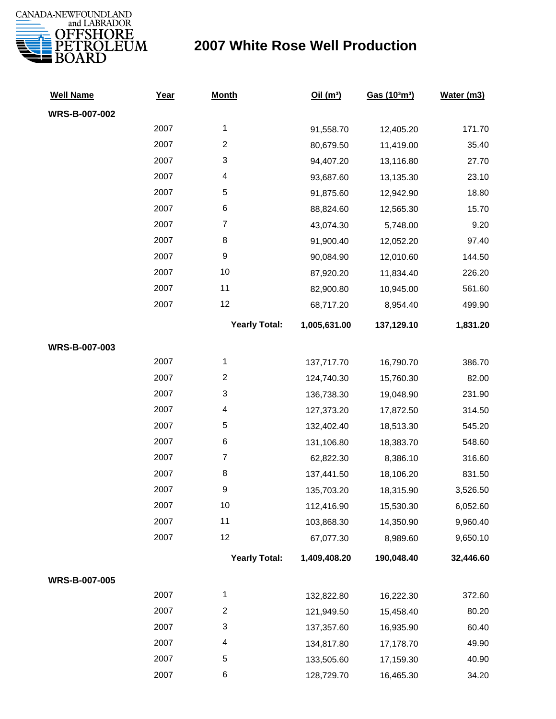

## **2007 White Rose Well Production**

| <b>Well Name</b>     | Year | <b>Month</b>         | Oil(m <sup>3</sup> ) | Gas (103m3) | Water (m3) |
|----------------------|------|----------------------|----------------------|-------------|------------|
| WRS-B-007-002        |      |                      |                      |             |            |
|                      | 2007 | 1                    | 91,558.70            | 12,405.20   | 171.70     |
|                      | 2007 | $\boldsymbol{2}$     | 80,679.50            | 11,419.00   | 35.40      |
|                      | 2007 | 3                    | 94,407.20            | 13,116.80   | 27.70      |
|                      | 2007 | 4                    | 93,687.60            | 13,135.30   | 23.10      |
|                      | 2007 | $\mathbf 5$          | 91,875.60            | 12,942.90   | 18.80      |
|                      | 2007 | 6                    | 88,824.60            | 12,565.30   | 15.70      |
|                      | 2007 | $\boldsymbol{7}$     | 43,074.30            | 5,748.00    | 9.20       |
|                      | 2007 | 8                    | 91,900.40            | 12,052.20   | 97.40      |
|                      | 2007 | 9                    | 90,084.90            | 12,010.60   | 144.50     |
|                      | 2007 | 10                   | 87,920.20            | 11,834.40   | 226.20     |
|                      | 2007 | 11                   | 82,900.80            | 10,945.00   | 561.60     |
|                      | 2007 | 12                   | 68,717.20            | 8,954.40    | 499.90     |
|                      |      | <b>Yearly Total:</b> | 1,005,631.00         | 137,129.10  | 1,831.20   |
| WRS-B-007-003        |      |                      |                      |             |            |
|                      | 2007 | 1                    | 137,717.70           | 16,790.70   | 386.70     |
|                      | 2007 | $\boldsymbol{2}$     | 124,740.30           | 15,760.30   | 82.00      |
|                      | 2007 | 3                    | 136,738.30           | 19,048.90   | 231.90     |
|                      | 2007 | 4                    | 127,373.20           | 17,872.50   | 314.50     |
|                      | 2007 | 5                    | 132,402.40           | 18,513.30   | 545.20     |
|                      | 2007 | 6                    | 131,106.80           | 18,383.70   | 548.60     |
|                      | 2007 | $\boldsymbol{7}$     | 62,822.30            | 8,386.10    | 316.60     |
|                      | 2007 | 8                    | 137,441.50           | 18,106.20   | 831.50     |
|                      | 2007 | 9                    | 135,703.20           | 18,315.90   | 3,526.50   |
|                      | 2007 | 10                   | 112,416.90           | 15,530.30   | 6,052.60   |
|                      | 2007 | 11                   | 103,868.30           | 14,350.90   | 9,960.40   |
|                      | 2007 | 12                   | 67,077.30            | 8,989.60    | 9,650.10   |
|                      |      | <b>Yearly Total:</b> | 1,409,408.20         | 190,048.40  | 32,446.60  |
| <b>WRS-B-007-005</b> |      |                      |                      |             |            |
|                      | 2007 | 1                    | 132,822.80           | 16,222.30   | 372.60     |
|                      | 2007 | $\overline{c}$       | 121,949.50           | 15,458.40   | 80.20      |
|                      | 2007 | 3                    | 137,357.60           | 16,935.90   | 60.40      |
|                      | 2007 | 4                    | 134,817.80           | 17,178.70   | 49.90      |
|                      | 2007 | 5                    | 133,505.60           | 17,159.30   | 40.90      |
|                      | 2007 | 6                    | 128,729.70           | 16,465.30   | 34.20      |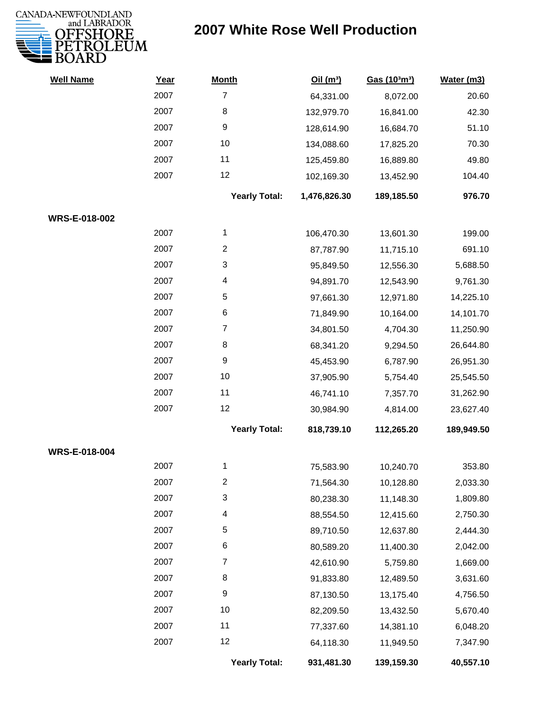

## **2007 White Rose Well Production**

| <b>Well Name</b> | Year | <b>Month</b>         | Oil(m <sup>3</sup> ) | Gas (103m3) | Water (m3) |
|------------------|------|----------------------|----------------------|-------------|------------|
|                  | 2007 | $\overline{7}$       | 64,331.00            | 8,072.00    | 20.60      |
|                  | 2007 | 8                    | 132,979.70           | 16,841.00   | 42.30      |
|                  | 2007 | 9                    | 128,614.90           | 16,684.70   | 51.10      |
|                  | 2007 | 10                   | 134,088.60           | 17,825.20   | 70.30      |
|                  | 2007 | 11                   | 125,459.80           | 16,889.80   | 49.80      |
|                  | 2007 | 12                   | 102,169.30           | 13,452.90   | 104.40     |
|                  |      | <b>Yearly Total:</b> | 1,476,826.30         | 189,185.50  | 976.70     |
| WRS-E-018-002    |      |                      |                      |             |            |
|                  | 2007 | 1                    | 106,470.30           | 13,601.30   | 199.00     |
|                  | 2007 | $\overline{c}$       | 87,787.90            | 11,715.10   | 691.10     |
|                  | 2007 | 3                    | 95,849.50            | 12,556.30   | 5,688.50   |
|                  | 2007 | 4                    | 94,891.70            | 12,543.90   | 9,761.30   |
|                  | 2007 | 5                    | 97,661.30            | 12,971.80   | 14,225.10  |
|                  | 2007 | 6                    | 71,849.90            | 10,164.00   | 14,101.70  |
|                  | 2007 | $\overline{7}$       | 34,801.50            | 4,704.30    | 11,250.90  |
|                  | 2007 | 8                    | 68,341.20            | 9,294.50    | 26,644.80  |
|                  | 2007 | 9                    | 45,453.90            | 6,787.90    | 26,951.30  |
|                  | 2007 | 10                   | 37,905.90            | 5,754.40    | 25,545.50  |
|                  | 2007 | 11                   | 46,741.10            | 7,357.70    | 31,262.90  |
|                  | 2007 | 12                   | 30,984.90            | 4,814.00    | 23,627.40  |
|                  |      | <b>Yearly Total:</b> | 818,739.10           | 112,265.20  | 189,949.50 |
| WRS-E-018-004    |      |                      |                      |             |            |
|                  | 2007 | 1                    | 75,583.90            | 10,240.70   | 353.80     |
|                  | 2007 | 2                    | 71,564.30            | 10,128.80   | 2,033.30   |
|                  | 2007 | 3                    | 80,238.30            | 11,148.30   | 1,809.80   |
|                  | 2007 | 4                    | 88,554.50            | 12,415.60   | 2,750.30   |
|                  | 2007 | 5                    | 89,710.50            | 12,637.80   | 2,444.30   |
|                  | 2007 | 6                    | 80,589.20            | 11,400.30   | 2,042.00   |
|                  | 2007 | $\overline{7}$       | 42,610.90            | 5,759.80    | 1,669.00   |
|                  | 2007 | 8                    | 91,833.80            | 12,489.50   | 3,631.60   |
|                  | 2007 | 9                    | 87,130.50            | 13,175.40   | 4,756.50   |
|                  | 2007 | 10                   | 82,209.50            | 13,432.50   | 5,670.40   |
|                  | 2007 | 11                   | 77,337.60            | 14,381.10   | 6,048.20   |
|                  | 2007 | 12                   | 64,118.30            | 11,949.50   | 7,347.90   |
|                  |      | <b>Yearly Total:</b> | 931,481.30           | 139,159.30  | 40,557.10  |